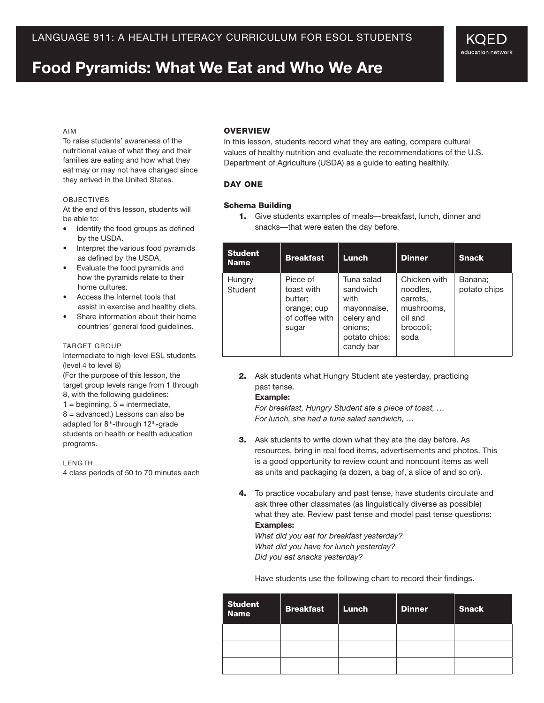# **Food Pyramids: What We Eat and Who We Are**

#### Aim

To raise students' awareness of the nutritional value of what they and their families are eating and how what they eat may or may not have changed since they arrived in the United States.

#### **OBJECTIVES**

At the end of this lesson, students will be able to:

- Identify the food groups as defined by the USDA.
- Interpret the various food pyramids as defined by the USDA.
- Evaluate the food pyramids and how the pyramids relate to their home cultures.
- Access the Internet tools that assist in exercise and healthy diets.
- Share information about their home countries' general food guidelines.

#### **TARGET GROUP**

Intermediate to high-level ESL students (level 4 to level 8)

(For the purpose of this lesson, the target group levels range from 1 through 8, with the following guidelines:

 $1 =$  beginning,  $5 =$  intermediate, 8 = advanced.) Lessons can also be adapted for 8<sup>th</sup>-through 12<sup>th</sup>-grade students on health or health education programs.

LENGTH

4 class periods of 50 to 70 minutes each

#### **OVERVIEW**

In this lesson, students record what they are eating, compare cultural values of healthy nutrition and evaluate the recommendations of the U.S. Department of Agriculture (USDA) as a guide to eating healthily.

#### Day One

#### Schema Building

1. Give students examples of meals—breakfast, lunch, dinner and snacks—that were eaten the day before.

| <b>Student</b><br><b>Name</b> | <b>Breakfast</b>                                                            | Lunch                                                                                                | <b>Dinner</b>                                                                      | <b>Snack</b>            |
|-------------------------------|-----------------------------------------------------------------------------|------------------------------------------------------------------------------------------------------|------------------------------------------------------------------------------------|-------------------------|
| Hungry<br>Student             | Piece of<br>toast with<br>butter;<br>orange; cup<br>of coffee with<br>sugar | Tuna salad<br>sandwich<br>with<br>mayonnaise,<br>celery and<br>onions:<br>potato chips;<br>candy bar | Chicken with<br>noodles,<br>carrots.<br>mushrooms,<br>oil and<br>broccoli;<br>soda | Banana:<br>potato chips |

2. Ask students what Hungry Student ate yesterday, practicing past tense.

#### **Example:**

*For breakfast, Hungry Student ate a piece of toast, … For lunch, she had a tuna salad sandwich, …*

- 3. Ask students to write down what they ate the day before. As resources, bring in real food items, advertisements and photos. This is a good opportunity to review count and noncount items as well as units and packaging (a dozen, a bag of, a slice of and so on).
- 4. To practice vocabulary and past tense, have students circulate and ask three other classmates (as linguistically diverse as possible) what they ate. Review past tense and model past tense questions: **Examples:**

*What did you eat for breakfast yesterday? What did you have for lunch yesterday? Did you eat snacks yesterday?*

Have students use the following chart to record their findings.

| <b>Student</b><br><b>Name</b> | <b>Breakfast</b> | Lunch | <b>Dinner</b> | <b>Snack</b> |
|-------------------------------|------------------|-------|---------------|--------------|
|                               |                  |       |               |              |
|                               |                  |       |               |              |
|                               |                  |       |               |              |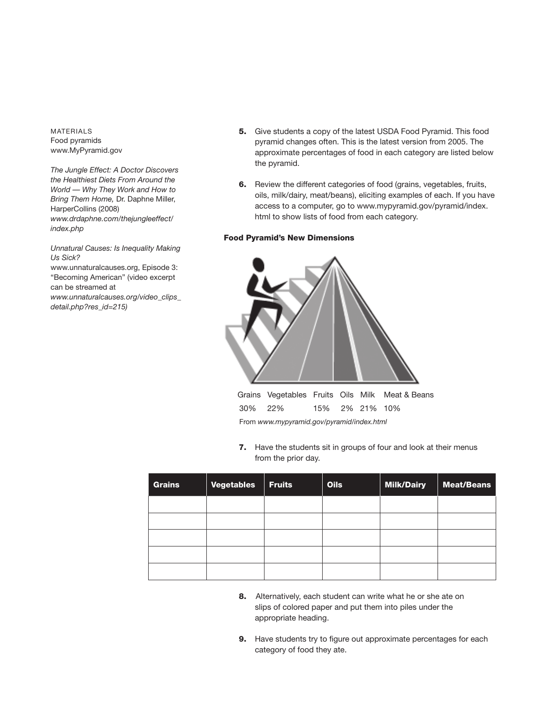**MATERIALS** Food pyramids www.MyPyramid.gov

*The Jungle Effect: A Doctor Discovers the Healthiest Diets From Around the World — Why They Work and How to Bring Them Home,* Dr. Daphne Miller, HarperCollins (2008) *www.drdaphne.com/thejungleeffect/ index.php*

*Unnatural Causes: Is Inequality Making Us Sick?* www.unnaturalcauses.org, Episode 3: "Becoming American" (video excerpt can be streamed at *www.unnaturalcauses.org/video\_clips\_ detail.php?res\_id=215)*

- 5. Give students a copy of the latest USDA Food Pyramid. This food pyramid changes often. This is the latest version from 2005. The approximate percentages of food in each category are listed below the pyramid.
- 6. Review the different categories of food (grains, vegetables, fruits, oils, milk/dairy, meat/beans), eliciting examples of each. If you have access to a computer, go to www.mypyramid.gov/pyramid/index. html to show lists of food from each category.

#### Food Pyramid's New Dimensions



30% 22% 15% 2% 21% 10% From *www.mypyramid.gov/pyramid/index.html*

7. Have the students sit in groups of four and look at their menus from the prior day.

| <b>Grains</b> | Vegetables | $ $ Fruits | <b>Oils</b> | <b>Milk/Dairy</b> | Meat/Beans |
|---------------|------------|------------|-------------|-------------------|------------|
|               |            |            |             |                   |            |
|               |            |            |             |                   |            |
|               |            |            |             |                   |            |
|               |            |            |             |                   |            |
|               |            |            |             |                   |            |

- 8. Alternatively, each student can write what he or she ate on slips of colored paper and put them into piles under the appropriate heading.
- **9.** Have students try to figure out approximate percentages for each category of food they ate.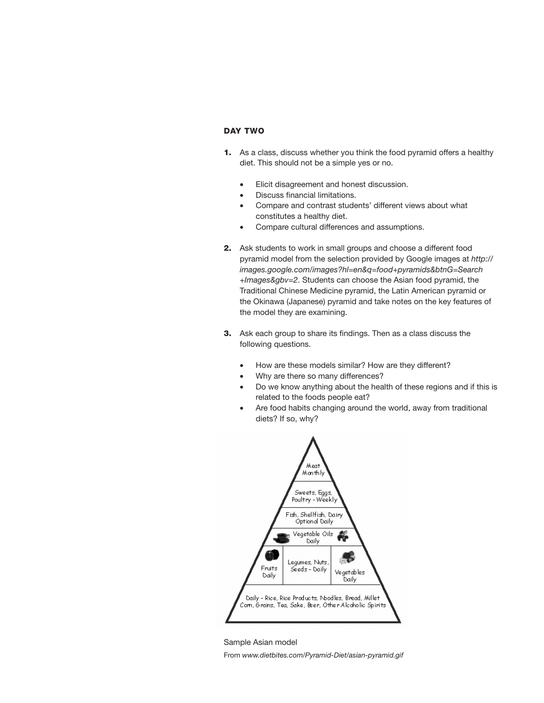## Day Two

- 1. As a class, discuss whether you think the food pyramid offers a healthy diet. This should not be a simple yes or no.
	- Elicit disagreement and honest discussion.
	- Discuss financial limitations.
	- Compare and contrast students' different views about what constitutes a healthy diet.
	- Compare cultural differences and assumptions.
- 2. Ask students to work in small groups and choose a different food pyramid model from the selection provided by Google images at *http:// images.google.com/images?hl=en&q=food+pyramids&btnG=Search +Images&gbv=2*. Students can choose the Asian food pyramid, the Traditional Chinese Medicine pyramid, the Latin American pyramid or the Okinawa (Japanese) pyramid and take notes on the key features of the model they are examining.
- 3. Ask each group to share its findings. Then as a class discuss the following questions.
	- How are these models similar? How are they different?
	- Why are there so many differences?
	- Do we know anything about the health of these regions and if this is related to the foods people eat?
	- Are food habits changing around the world, away from traditional diets? If so, why?



Sample Asian model From *www.dietbites.com/Pyramid-Diet/asian-pyramid.gif*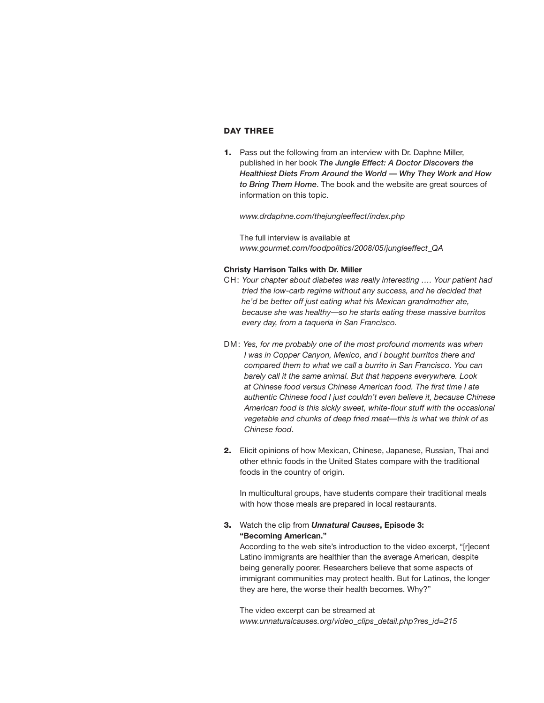# Day Three

1. Pass out the following from an interview with Dr. Daphne Miller, published in her book *The Jungle Effect: A Doctor Discovers the Healthiest Diets From Around the World — Why They Work and How to Bring Them Home*. The book and the website are great sources of information on this topic.

*www.drdaphne.com/thejungleeffect/index.php*

The full interview is available at *www.gourmet.com/foodpolitics/2008/05/jungleeffect\_QA*

#### **Christy Harrison Talks with Dr. Miller**

- CH: *Your chapter about diabetes was really interesting …. Your patient had tried the low-carb regime without any success, and he decided that he'd be better off just eating what his Mexican grandmother ate, because she was healthy—so he starts eating these massive burritos every day, from a taqueria in San Francisco.*
- DM: *Yes, for me probably one of the most profound moments was when I was in Copper Canyon, Mexico, and I bought burritos there and compared them to what we call a burrito in San Francisco. You can barely call it the same animal. But that happens everywhere. Look at Chinese food versus Chinese American food. The first time I ate authentic Chinese food I just couldn't even believe it, because Chinese American food is this sickly sweet, white-flour stuff with the occasional vegetable and chunks of deep fried meat—this is what we think of as Chinese food*.
- 2. Elicit opinions of how Mexican, Chinese, Japanese, Russian, Thai and other ethnic foods in the United States compare with the traditional foods in the country of origin.

In multicultural groups, have students compare their traditional meals with how those meals are prepared in local restaurants.

# 3. Watch the clip from *Unnatural Causes***, Episode 3: "Becoming American."**

According to the web site's introduction to the video excerpt, "[r]ecent Latino immigrants are healthier than the average American, despite being generally poorer. Researchers believe that some aspects of immigrant communities may protect health. But for Latinos, the longer they are here, the worse their health becomes. Why?"

The video excerpt can be streamed at *www.unnaturalcauses.org/video\_clips\_detail.php?res\_id=215*